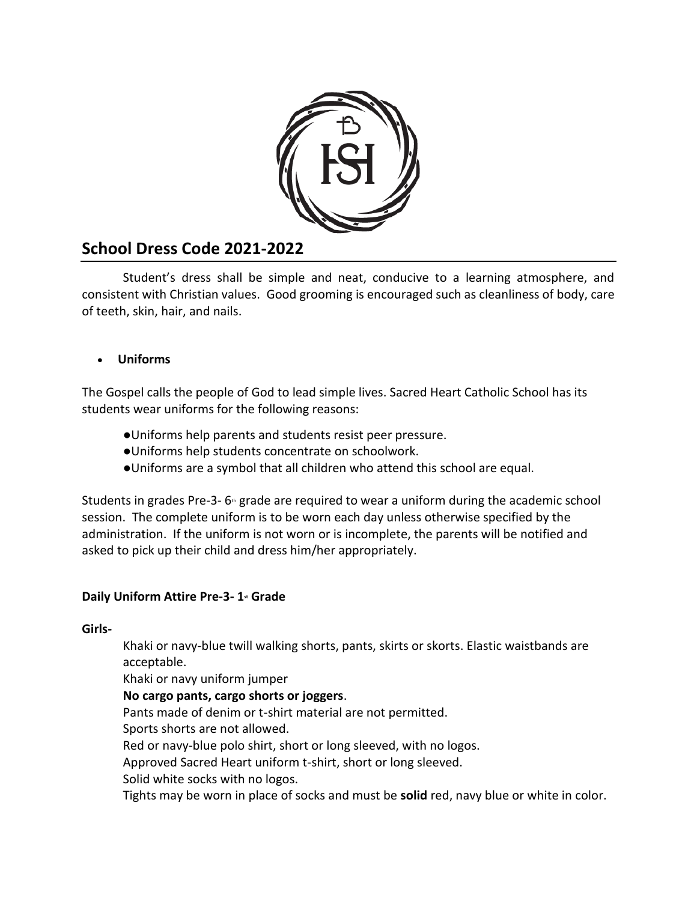

# **School Dress Code 2021-2022**

Student's dress shall be simple and neat, conducive to a learning atmosphere, and consistent with Christian values. Good grooming is encouraged such as cleanliness of body, care of teeth, skin, hair, and nails.

# • **Uniforms**

The Gospel calls the people of God to lead simple lives. Sacred Heart Catholic School has its students wear uniforms for the following reasons:

- ●Uniforms help parents and students resist peer pressure.
- ●Uniforms help students concentrate on schoolwork.
- ●Uniforms are a symbol that all children who attend this school are equal.

Students in grades Pre-3- $6$ <sup>th</sup> grade are required to wear a uniform during the academic school session. The complete uniform is to be worn each day unless otherwise specified by the administration. If the uniform is not worn or is incomplete, the parents will be notified and asked to pick up their child and dress him/her appropriately.

### **Daily Uniform Attire Pre-3- 1st Grade**

**Girls-**

Khaki or navy-blue twill walking shorts, pants, skirts or skorts. Elastic waistbands are acceptable.

Khaki or navy uniform jumper

### **No cargo pants, cargo shorts or joggers**.

Pants made of denim or t-shirt material are not permitted.

Sports shorts are not allowed.

Red or navy-blue polo shirt, short or long sleeved, with no logos.

Approved Sacred Heart uniform t-shirt, short or long sleeved.

Solid white socks with no logos.

Tights may be worn in place of socks and must be **solid** red, navy blue or white in color.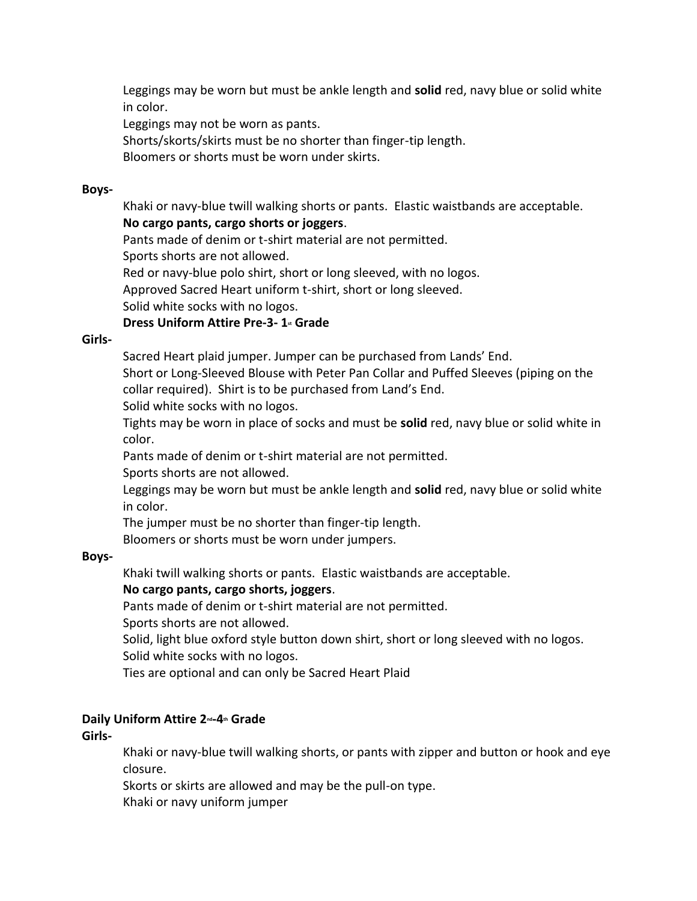Leggings may be worn but must be ankle length and **solid** red, navy blue or solid white in color.

Leggings may not be worn as pants.

Shorts/skorts/skirts must be no shorter than finger-tip length.

Bloomers or shorts must be worn under skirts.

#### **Boys-**

Khaki or navy-blue twill walking shorts or pants. Elastic waistbands are acceptable. **No cargo pants, cargo shorts or joggers**.

Pants made of denim or t-shirt material are not permitted.

Sports shorts are not allowed.

Red or navy-blue polo shirt, short or long sleeved, with no logos.

Approved Sacred Heart uniform t-shirt, short or long sleeved.

Solid white socks with no logos.

### **Dress Uniform Attire Pre-3- 1st Grade**

#### **Girls-**

Sacred Heart plaid jumper. Jumper can be purchased from Lands' End.

Short or Long-Sleeved Blouse with Peter Pan Collar and Puffed Sleeves (piping on the collar required). Shirt is to be purchased from Land's End.

Solid white socks with no logos.

Tights may be worn in place of socks and must be **solid** red, navy blue or solid white in color.

Pants made of denim or t-shirt material are not permitted.

Sports shorts are not allowed.

Leggings may be worn but must be ankle length and **solid** red, navy blue or solid white in color.

The jumper must be no shorter than finger-tip length.

Bloomers or shorts must be worn under jumpers.

#### **Boys-**

Khaki twill walking shorts or pants. Elastic waistbands are acceptable.

### **No cargo pants, cargo shorts, joggers**.

Pants made of denim or t-shirt material are not permitted.

Sports shorts are not allowed.

Solid, light blue oxford style button down shirt, short or long sleeved with no logos. Solid white socks with no logos.

Ties are optional and can only be Sacred Heart Plaid

### **Daily Uniform Attire 2nd-4th Grade**

**Girls-**

Khaki or navy-blue twill walking shorts, or pants with zipper and button or hook and eye closure.

Skorts or skirts are allowed and may be the pull-on type.

Khaki or navy uniform jumper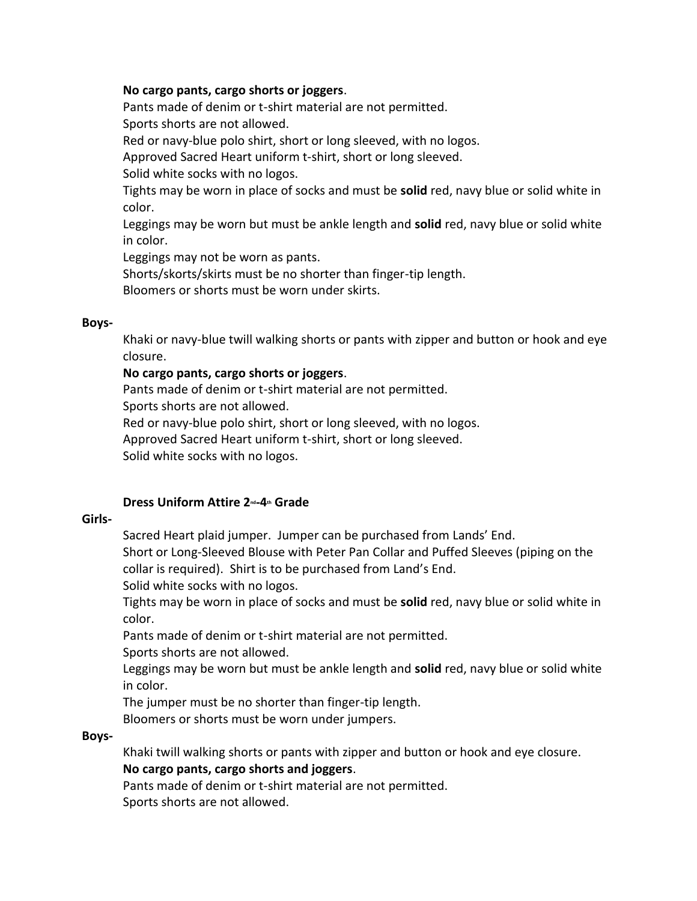#### **No cargo pants, cargo shorts or joggers**.

Pants made of denim or t-shirt material are not permitted. Sports shorts are not allowed.

Red or navy-blue polo shirt, short or long sleeved, with no logos.

Approved Sacred Heart uniform t-shirt, short or long sleeved.

Solid white socks with no logos.

Tights may be worn in place of socks and must be **solid** red, navy blue or solid white in color.

Leggings may be worn but must be ankle length and **solid** red, navy blue or solid white in color.

Leggings may not be worn as pants.

Shorts/skorts/skirts must be no shorter than finger-tip length.

Bloomers or shorts must be worn under skirts.

#### **Boys-**

Khaki or navy-blue twill walking shorts or pants with zipper and button or hook and eye closure.

### **No cargo pants, cargo shorts or joggers**.

Pants made of denim or t-shirt material are not permitted.

Sports shorts are not allowed.

Red or navy-blue polo shirt, short or long sleeved, with no logos.

Approved Sacred Heart uniform t-shirt, short or long sleeved.

Solid white socks with no logos.

#### **Dress Uniform Attire 2nd-4th Grade**

#### **Girls-**

Sacred Heart plaid jumper. Jumper can be purchased from Lands' End.

Short or Long-Sleeved Blouse with Peter Pan Collar and Puffed Sleeves (piping on the collar is required). Shirt is to be purchased from Land's End.

Solid white socks with no logos.

Tights may be worn in place of socks and must be **solid** red, navy blue or solid white in color.

Pants made of denim or t-shirt material are not permitted.

Sports shorts are not allowed.

Leggings may be worn but must be ankle length and **solid** red, navy blue or solid white in color.

The jumper must be no shorter than finger-tip length.

Bloomers or shorts must be worn under jumpers.

#### **Boys-**

Khaki twill walking shorts or pants with zipper and button or hook and eye closure. **No cargo pants, cargo shorts and joggers**.

Pants made of denim or t-shirt material are not permitted. Sports shorts are not allowed.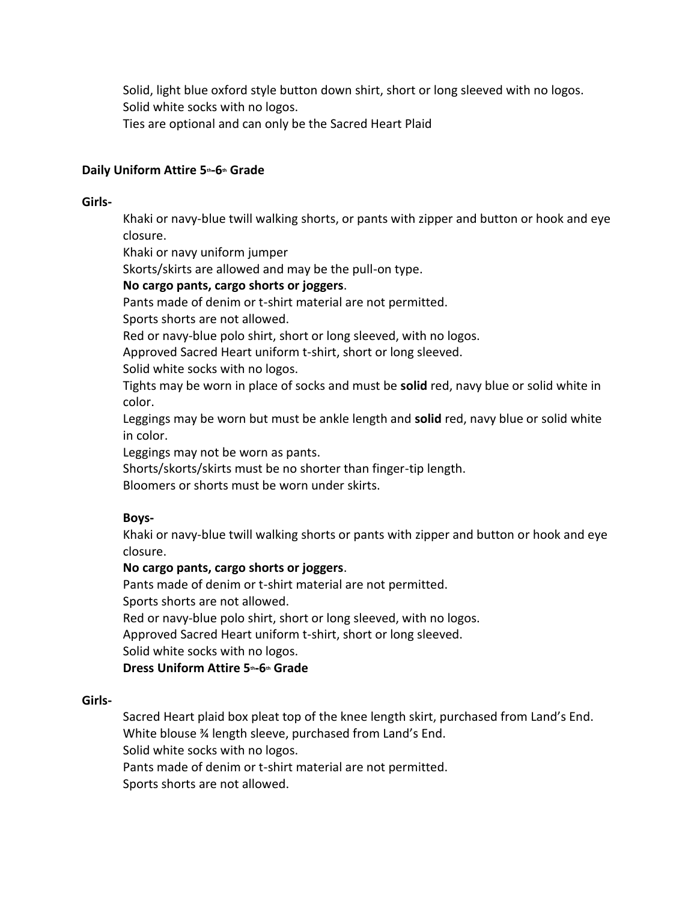Solid, light blue oxford style button down shirt, short or long sleeved with no logos. Solid white socks with no logos. Ties are optional and can only be the Sacred Heart Plaid

### **Daily Uniform Attire 5th-6th Grade**

### **Girls-**

Khaki or navy-blue twill walking shorts, or pants with zipper and button or hook and eye closure.

Khaki or navy uniform jumper

Skorts/skirts are allowed and may be the pull-on type.

### **No cargo pants, cargo shorts or joggers**.

Pants made of denim or t-shirt material are not permitted.

Sports shorts are not allowed.

Red or navy-blue polo shirt, short or long sleeved, with no logos.

Approved Sacred Heart uniform t-shirt, short or long sleeved.

Solid white socks with no logos.

Tights may be worn in place of socks and must be **solid** red, navy blue or solid white in color.

Leggings may be worn but must be ankle length and **solid** red, navy blue or solid white in color.

Leggings may not be worn as pants.

Shorts/skorts/skirts must be no shorter than finger-tip length.

Bloomers or shorts must be worn under skirts.

### **Boys-**

Khaki or navy-blue twill walking shorts or pants with zipper and button or hook and eye closure.

### **No cargo pants, cargo shorts or joggers**.

Pants made of denim or t-shirt material are not permitted.

Sports shorts are not allowed.

Red or navy-blue polo shirt, short or long sleeved, with no logos.

Approved Sacred Heart uniform t-shirt, short or long sleeved.

Solid white socks with no logos.

### **Dress Uniform Attire 5th-6th Grade**

#### **Girls-**

Sacred Heart plaid box pleat top of the knee length skirt, purchased from Land's End. White blouse ¾ length sleeve, purchased from Land's End. Solid white socks with no logos. Pants made of denim or t-shirt material are not permitted. Sports shorts are not allowed.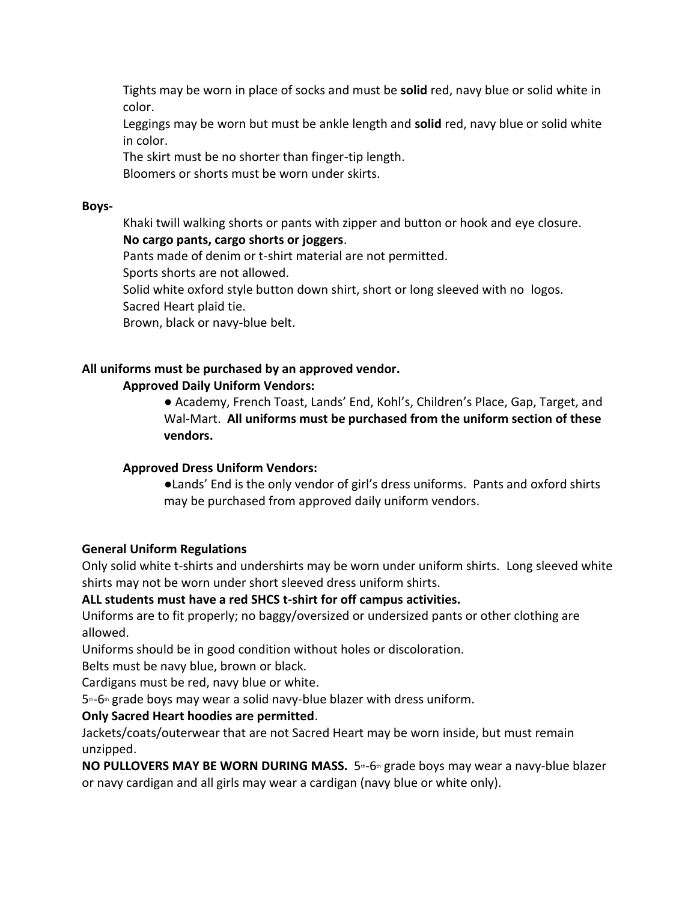Tights may be worn in place of socks and must be **solid** red, navy blue or solid white in color.

Leggings may be worn but must be ankle length and **solid** red, navy blue or solid white in color.

The skirt must be no shorter than finger-tip length.

Bloomers or shorts must be worn under skirts.

### **Boys-**

Khaki twill walking shorts or pants with zipper and button or hook and eye closure. **No cargo pants, cargo shorts or joggers**.

Pants made of denim or t-shirt material are not permitted.

Sports shorts are not allowed.

Solid white oxford style button down shirt, short or long sleeved with no logos. Sacred Heart plaid tie.

Brown, black or navy-blue belt.

# **All uniforms must be purchased by an approved vendor.**

### **Approved Daily Uniform Vendors:**

**●** Academy, French Toast, Lands' End, Kohl's, Children's Place, Gap, Target, and Wal-Mart. **All uniforms must be purchased from the uniform section of these vendors.**

### **Approved Dress Uniform Vendors:**

●Lands' End is the only vendor of girl's dress uniforms. Pants and oxford shirts may be purchased from approved daily uniform vendors.

### **General Uniform Regulations**

Only solid white t-shirts and undershirts may be worn under uniform shirts. Long sleeved white shirts may not be worn under short sleeved dress uniform shirts.

### **ALL students must have a red SHCS t-shirt for off campus activities.**

Uniforms are to fit properly; no baggy/oversized or undersized pants or other clothing are allowed.

Uniforms should be in good condition without holes or discoloration.

Belts must be navy blue, brown or black.

Cardigans must be red, navy blue or white.

 $5$ <sup>th</sup>-6<sup>th</sup> grade boys may wear a solid navy-blue blazer with dress uniform.

# **Only Sacred Heart hoodies are permitted**.

Jackets/coats/outerwear that are not Sacred Heart may be worn inside, but must remain unzipped.

**NO PULLOVERS MAY BE WORN DURING MASS.** 5<sup>th</sup>-6<sup>th</sup> grade boys may wear a navy-blue blazer or navy cardigan and all girls may wear a cardigan (navy blue or white only).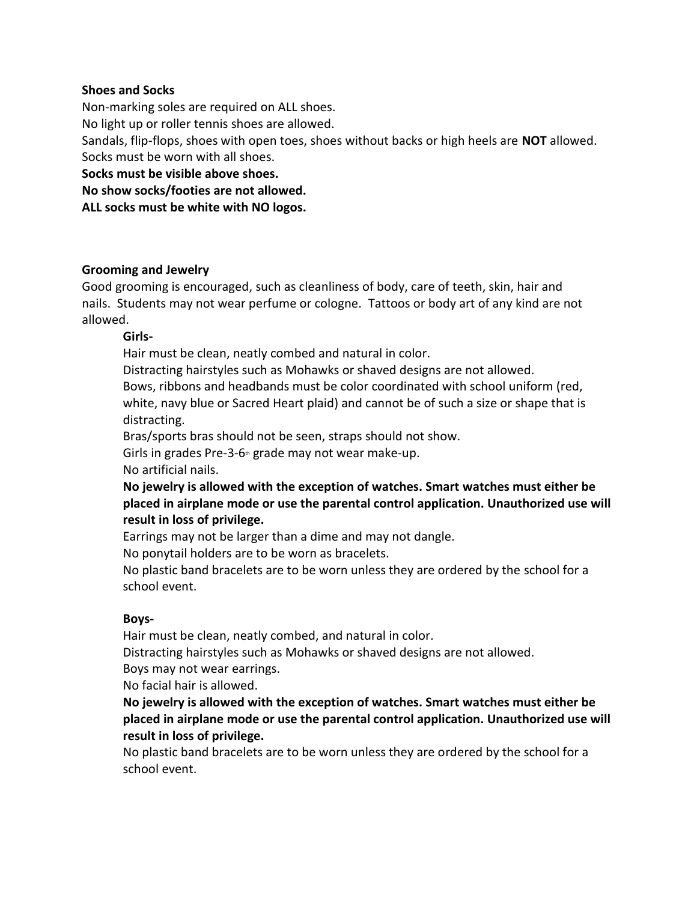#### **Shoes and Socks**

Non-marking soles are required on ALL shoes.

No light up or roller tennis shoes are allowed.

Sandals, flip-flops, shoes with open toes, shoes without backs or high heels are **NOT** allowed. Socks must be worn with all shoes.

**Socks must be visible above shoes.**

**No show socks/footies are not allowed.**

**ALL socks must be white with NO logos.**

#### **Grooming and Jewelry**

Good grooming is encouraged, such as cleanliness of body, care of teeth, skin, hair and nails. Students may not wear perfume or cologne. Tattoos or body art of any kind are not allowed.

### **Girls-**

Hair must be clean, neatly combed and natural in color.

Distracting hairstyles such as Mohawks or shaved designs are not allowed. Bows, ribbons and headbands must be color coordinated with school uniform (red, white, navy blue or Sacred Heart plaid) and cannot be of such a size or shape that is distracting.

Bras/sports bras should not be seen, straps should not show.

Girls in grades Pre-3-6 $th$  grade may not wear make-up.

No artificial nails.

**No jewelry is allowed with the exception of watches. Smart watches must either be placed in airplane mode or use the parental control application. Unauthorized use will result in loss of privilege.**

Earrings may not be larger than a dime and may not dangle.

No ponytail holders are to be worn as bracelets.

No plastic band bracelets are to be worn unless they are ordered by the school for a school event.

#### **Boys-**

Hair must be clean, neatly combed, and natural in color.

Distracting hairstyles such as Mohawks or shaved designs are not allowed. Boys may not wear earrings.

No facial hair is allowed.

**No jewelry is allowed with the exception of watches. Smart watches must either be placed in airplane mode or use the parental control application. Unauthorized use will result in loss of privilege.**

No plastic band bracelets are to be worn unless they are ordered by the school for a school event.